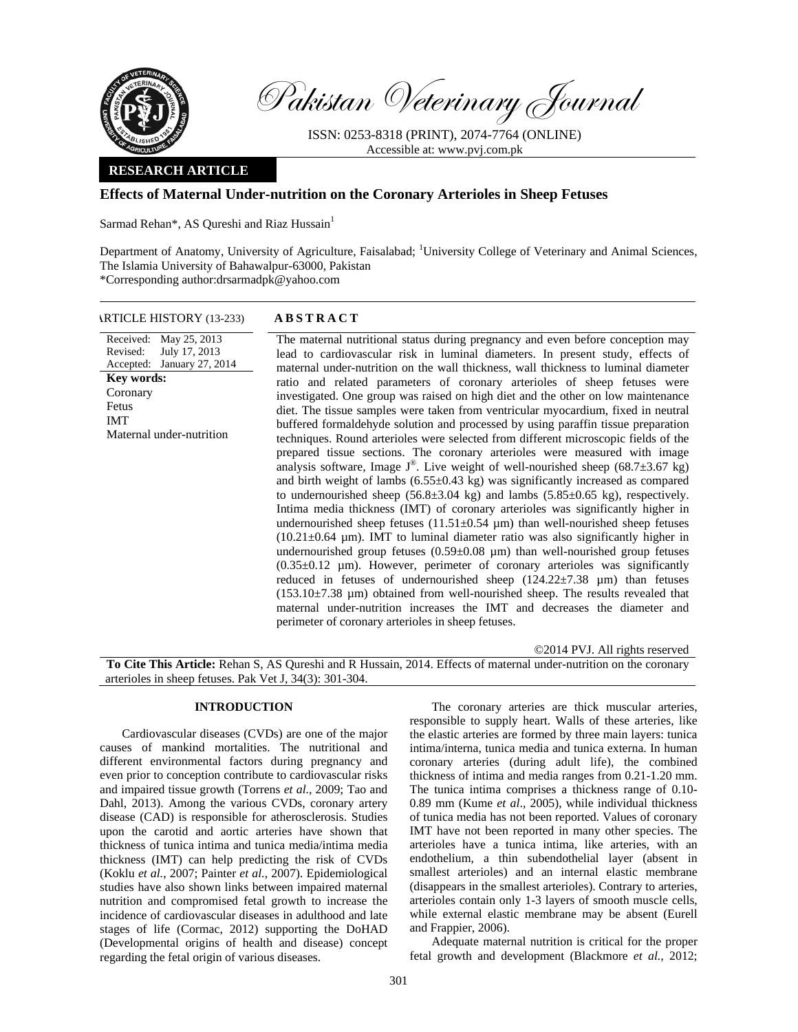

Pakistan Veterinary Journal

ISSN: 0253-8318 (PRINT), 2074-7764 (ONLINE) Accessible at: www.pvj.com.pk

## **RESEARCH ARTICLE**

# **Effects of Maternal Under-nutrition on the Coronary Arterioles in Sheep Fetuses**

Sarmad Rehan\*, AS Qureshi and Riaz Hussain<sup>1</sup>

Department of Anatomy, University of Agriculture, Faisalabad; <sup>1</sup>University College of Veterinary and Animal Sciences, The Islamia University of Bahawalpur-63000, Pakistan \*Corresponding author:drsarmadpk@yahoo.com

### ARTICLE HISTORY (13-233) **ABSTRACT**

Received: May 25, 2013 Revised: Accepted: January 27, 2014 July 17, 2013 The maternal nutritional status during pregnancy and even before conception may lead to cardiovascular risk in luminal diameters. In present study, effects of maternal under-nutrition on the wall thickness, wall thickness to luminal diameter ratio and related parameters of coronary arterioles of sheep fetuses were investigated. One group was raised on high diet and the other on low maintenance diet. The tissue samples were taken from ventricular myocardium, fixed in neutral buffered formaldehyde solution and processed by using paraffin tissue preparation techniques. Round arterioles were selected from different microscopic fields of the prepared tissue sections. The coronary arterioles were measured with image analysis software, Image  $J^{\circ}$ . Live weight of well-nourished sheep (68.7 $\pm$ 3.67 kg) and birth weight of lambs  $(6.55 \pm 0.43 \text{ kg})$  was significantly increased as compared to undernourished sheep  $(56.8\pm3.04 \text{ kg})$  and lambs  $(5.85\pm0.65 \text{ kg})$ , respectively. Intima media thickness (IMT) of coronary arterioles was significantly higher in undernourished sheep fetuses  $(11.51\pm0.54 \mu m)$  than well-nourished sheep fetuses  $(10.21 \pm 0.64 \mu m)$ . IMT to luminal diameter ratio was also significantly higher in undernourished group fetuses  $(0.59\pm0.08 \mu m)$  than well-nourished group fetuses (0.35±0.12 µm). However, perimeter of coronary arterioles was significantly reduced in fetuses of undernourished sheep  $(124.22 \pm 7.38 \mu m)$  than fetuses  $(153.10\pm7.38 \mu m)$  obtained from well-nourished sheep. The results revealed that maternal under-nutrition increases the IMT and decreases the diameter and perimeter of coronary arterioles in sheep fetuses. **Key words:**  Coronary Fetus IMT Maternal under-nutrition

©2014 PVJ. All rights reserved

**To Cite This Article:** Rehan S, AS Qureshi and R Hussain, 2014. Effects of maternal under-nutrition on the coronary arterioles in sheep fetuses. Pak Vet J, 34(3): 301-304.

### **INTRODUCTION**

Cardiovascular diseases (CVDs) are one of the major causes of mankind mortalities. The nutritional and different environmental factors during pregnancy and even prior to conception contribute to cardiovascular risks and impaired tissue growth (Torrens *et al.,* 2009; Tao and Dahl, 2013). Among the various CVDs, coronary artery disease (CAD) is responsible for atherosclerosis. Studies upon the carotid and aortic arteries have shown that thickness of tunica intima and tunica media/intima media thickness (IMT) can help predicting the risk of CVDs (Koklu *et al.*, 2007; Painter *et al.*, 2007). Epidemiological studies have also shown links between impaired maternal nutrition and compromised fetal growth to increase the incidence of cardiovascular diseases in adulthood and late stages of life (Cormac, 2012) supporting the DoHAD (Developmental origins of health and disease) concept regarding the fetal origin of various diseases.

The coronary arteries are thick muscular arteries, responsible to supply heart. Walls of these arteries, like the elastic arteries are formed by three main layers: tunica intima/interna, tunica media and tunica externa. In human coronary arteries (during adult life), the combined thickness of intima and media ranges from 0.21-1.20 mm. The tunica intima comprises a thickness range of 0.10- 0.89 mm (Kume *et al*., 2005), while individual thickness of tunica media has not been reported. Values of coronary IMT have not been reported in many other species. The arterioles have a tunica intima, like arteries, with an endothelium, a thin subendothelial layer (absent in smallest arterioles) and an internal elastic membrane (disappears in the smallest arterioles). Contrary to arteries, arterioles contain only 1-3 layers of smooth muscle cells, while external elastic membrane may be absent (Eurell and Frappier, 2006).

Adequate maternal nutrition is critical for the proper fetal growth and development (Blackmore *et al.,* 2012;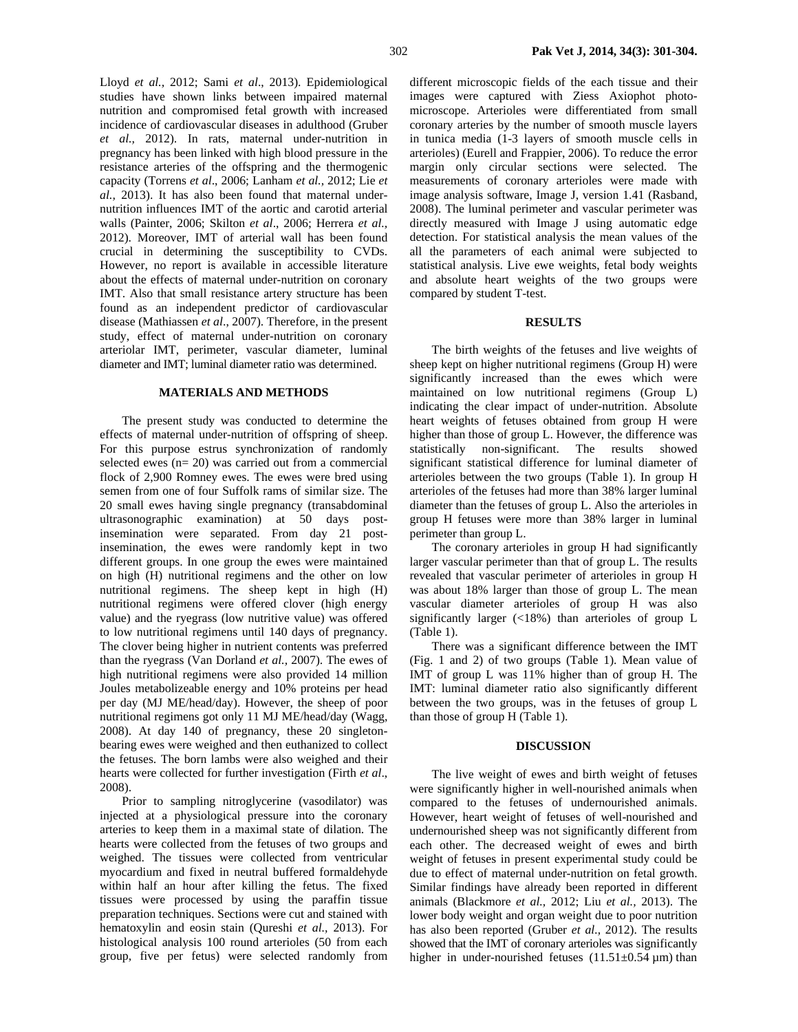Lloyd *et al.,* 2012; Sami *et al*., 2013). Epidemiological studies have shown links between impaired maternal nutrition and compromised fetal growth with increased incidence of cardiovascular diseases in adulthood (Gruber *et al.,* 2012). In rats, maternal under-nutrition in pregnancy has been linked with high blood pressure in the resistance arteries of the offspring and the thermogenic capacity (Torrens *et al*., 2006; Lanham *et al.,* 2012; Lie *et al.,* 2013). It has also been found that maternal undernutrition influences IMT of the aortic and carotid arterial walls (Painter, 2006; Skilton *et al*., 2006; Herrera *et al.,* 2012). Moreover, IMT of arterial wall has been found crucial in determining the susceptibility to CVDs. However, no report is available in accessible literature about the effects of maternal under-nutrition on coronary IMT. Also that small resistance artery structure has been found as an independent predictor of cardiovascular disease (Mathiassen *et al*., 2007). Therefore, in the present study, effect of maternal under-nutrition on coronary arteriolar IMT, perimeter, vascular diameter, luminal diameter and IMT; luminal diameter ratio was determined.

#### **MATERIALS AND METHODS**

The present study was conducted to determine the effects of maternal under-nutrition of offspring of sheep. For this purpose estrus synchronization of randomly selected ewes (n= 20) was carried out from a commercial flock of 2,900 Romney ewes. The ewes were bred using semen from one of four Suffolk rams of similar size. The 20 small ewes having single pregnancy (transabdominal ultrasonographic examination) at 50 days postinsemination were separated. From day 21 postinsemination, the ewes were randomly kept in two different groups. In one group the ewes were maintained on high (H) nutritional regimens and the other on low nutritional regimens. The sheep kept in high (H) nutritional regimens were offered clover (high energy value) and the ryegrass (low nutritive value) was offered to low nutritional regimens until 140 days of pregnancy. The clover being higher in nutrient contents was preferred than the ryegrass (Van Dorland *et al.,* 2007). The ewes of high nutritional regimens were also provided 14 million Joules metabolizeable energy and 10% proteins per head per day (MJ ME/head/day). However, the sheep of poor nutritional regimens got only 11 MJ ME/head/day (Wagg, 2008). At day 140 of pregnancy, these 20 singletonbearing ewes were weighed and then euthanized to collect the fetuses. The born lambs were also weighed and their hearts were collected for further investigation (Firth *et al*., 2008).

Prior to sampling nitroglycerine (vasodilator) was injected at a physiological pressure into the coronary arteries to keep them in a maximal state of dilation. The hearts were collected from the fetuses of two groups and weighed. The tissues were collected from ventricular myocardium and fixed in neutral buffered formaldehyde within half an hour after killing the fetus. The fixed tissues were processed by using the paraffin tissue preparation techniques. Sections were cut and stained with hematoxylin and eosin stain (Qureshi *et al.,* 2013). For histological analysis 100 round arterioles (50 from each group, five per fetus) were selected randomly from different microscopic fields of the each tissue and their images were captured with Ziess Axiophot photomicroscope. Arterioles were differentiated from small coronary arteries by the number of smooth muscle layers in tunica media (1-3 layers of smooth muscle cells in arterioles) (Eurell and Frappier, 2006). To reduce the error margin only circular sections were selected. The measurements of coronary arterioles were made with image analysis software, Image J, version 1.41 (Rasband, 2008). The luminal perimeter and vascular perimeter was directly measured with Image J using automatic edge detection. For statistical analysis the mean values of the all the parameters of each animal were subjected to statistical analysis. Live ewe weights, fetal body weights and absolute heart weights of the two groups were compared by student T-test.

### **RESULTS**

The birth weights of the fetuses and live weights of sheep kept on higher nutritional regimens (Group H) were significantly increased than the ewes which were maintained on low nutritional regimens (Group L) indicating the clear impact of under-nutrition. Absolute heart weights of fetuses obtained from group H were higher than those of group L. However, the difference was statistically non-significant. The results showed significant statistical difference for luminal diameter of arterioles between the two groups (Table 1). In group H arterioles of the fetuses had more than 38% larger luminal diameter than the fetuses of group L. Also the arterioles in group H fetuses were more than 38% larger in luminal perimeter than group L.

The coronary arterioles in group H had significantly larger vascular perimeter than that of group L. The results revealed that vascular perimeter of arterioles in group H was about 18% larger than those of group L. The mean vascular diameter arterioles of group H was also significantly larger (<18%) than arterioles of group L (Table 1).

There was a significant difference between the IMT (Fig. 1 and 2) of two groups (Table 1). Mean value of IMT of group L was 11% higher than of group H. The IMT: luminal diameter ratio also significantly different between the two groups, was in the fetuses of group L than those of group H (Table 1).

#### **DISCUSSION**

The live weight of ewes and birth weight of fetuses were significantly higher in well-nourished animals when compared to the fetuses of undernourished animals. However, heart weight of fetuses of well-nourished and undernourished sheep was not significantly different from each other. The decreased weight of ewes and birth weight of fetuses in present experimental study could be due to effect of maternal under-nutrition on fetal growth. Similar findings have already been reported in different animals (Blackmore *et al.,* 2012; Liu *et al.,* 2013). The lower body weight and organ weight due to poor nutrition has also been reported (Gruber *et al.,* 2012). The results showed that the IMT of coronary arterioles was significantly higher in under-nourished fetuses  $(11.51\pm0.54 \,\mu m)$  than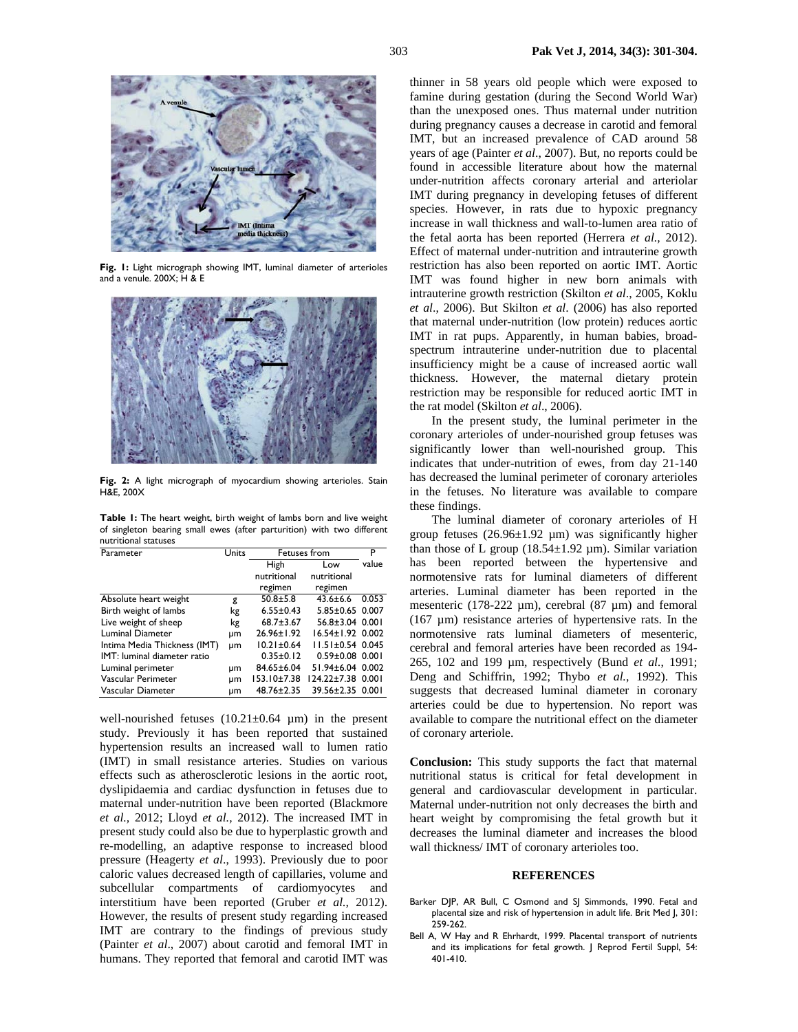

**Fig. 1:** Light micrograph showing IMT, luminal diameter of arterioles and a venule. 200X; H & E



**Fig. 2:** A light micrograph of myocardium showing arterioles. Stain H&E, 200X

**Table 1:** The heart weight, birth weight of lambs born and live weight of singleton bearing small ewes (after parturition) with two different nutritional statuses

| Parameter                          | Units | Fetuses from      |                        | P     |
|------------------------------------|-------|-------------------|------------------------|-------|
|                                    |       | High              | Low                    | value |
|                                    |       | nutritional       | nutritional            |       |
|                                    |       | regimen           | regimen                |       |
| Absolute heart weight              | g     | $50.8 + 5.8$      | $43.6 \pm 6.6$         | 0.053 |
| Birth weight of lambs              | kg    | $6.55 \pm 0.43$   | $5.85 \pm 0.65$        | 0.007 |
| Live weight of sheep               | kg    | $68.7 \pm 3.67$   | $56.8 \pm 3.04$ 0.001  |       |
| Luminal Diameter                   | μm    | $26.96 \pm 1.92$  | $16.54 \pm 1.92$ 0.002 |       |
| Intima Media Thickness (IMT)       | um    | $10.21 \pm 0.64$  | $11.51 \pm 0.54$ 0.045 |       |
| <b>IMT:</b> luminal diameter ratio |       | $0.35 \pm 0.12$   | $0.59 \pm 0.08$ 0.001  |       |
| Luminal perimeter                  | μm    | 84.65±6.04        | 51.94±6.04 0.002       |       |
| Vascular Perimeter                 | μm    | $153.10 \pm 7.38$ | 124.22±7.38            | 0.001 |
| Vascular Diameter                  | um    | 48.76±2.35        | 39.56±2.35 0.001       |       |

well-nourished fetuses  $(10.21 \pm 0.64 \mu m)$  in the present study. Previously it has been reported that sustained hypertension results an increased wall to lumen ratio (IMT) in small resistance arteries. Studies on various effects such as atherosclerotic lesions in the aortic root, dyslipidaemia and cardiac dysfunction in fetuses due to maternal under-nutrition have been reported (Blackmore *et al.,* 2012; Lloyd *et al.,* 2012). The increased IMT in present study could also be due to hyperplastic growth and re-modelling, an adaptive response to increased blood pressure (Heagerty *et al*., 1993). Previously due to poor caloric values decreased length of capillaries, volume and subcellular compartments of cardiomyocytes and interstitium have been reported (Gruber *et al.,* 2012). However, the results of present study regarding increased IMT are contrary to the findings of previous study (Painter *et al*., 2007) about carotid and femoral IMT in humans. They reported that femoral and carotid IMT was

thinner in 58 years old people which were exposed to famine during gestation (during the Second World War) than the unexposed ones. Thus maternal under nutrition during pregnancy causes a decrease in carotid and femoral IMT, but an increased prevalence of CAD around 58 years of age (Painter *et al*., 2007). But, no reports could be found in accessible literature about how the maternal under-nutrition affects coronary arterial and arteriolar IMT during pregnancy in developing fetuses of different species. However, in rats due to hypoxic pregnancy increase in wall thickness and wall-to-lumen area ratio of the fetal aorta has been reported (Herrera *et al.,* 2012). Effect of maternal under-nutrition and intrauterine growth restriction has also been reported on aortic IMT. Aortic IMT was found higher in new born animals with intrauterine growth restriction (Skilton *et al*., 2005, Koklu *et al*., 2006). But Skilton *et al*. (2006) has also reported that maternal under-nutrition (low protein) reduces aortic IMT in rat pups. Apparently, in human babies, broadspectrum intrauterine under-nutrition due to placental insufficiency might be a cause of increased aortic wall thickness. However, the maternal dietary protein restriction may be responsible for reduced aortic IMT in the rat model (Skilton *et al*., 2006).

In the present study, the luminal perimeter in the coronary arterioles of under-nourished group fetuses was significantly lower than well-nourished group. This indicates that under-nutrition of ewes, from day 21-140 has decreased the luminal perimeter of coronary arterioles in the fetuses. No literature was available to compare these findings.

The luminal diameter of coronary arterioles of H group fetuses  $(26.96\pm1.92 \mu m)$  was significantly higher than those of L group ( $18.54 \pm 1.92 \mu$ m). Similar variation has been reported between the hypertensive and normotensive rats for luminal diameters of different arteries. Luminal diameter has been reported in the mesenteric (178-222  $\mu$ m), cerebral (87  $\mu$ m) and femoral (167 µm) resistance arteries of hypertensive rats. In the normotensive rats luminal diameters of mesenteric, cerebral and femoral arteries have been recorded as 194- 265, 102 and 199 µm, respectively (Bund *et al.*, 1991; Deng and Schiffrin, 1992; Thybo *et al.*, 1992). This suggests that decreased luminal diameter in coronary arteries could be due to hypertension. No report was available to compare the nutritional effect on the diameter of coronary arteriole.

**Conclusion:** This study supports the fact that maternal nutritional status is critical for fetal development in general and cardiovascular development in particular. Maternal under-nutrition not only decreases the birth and heart weight by compromising the fetal growth but it decreases the luminal diameter and increases the blood wall thickness/ IMT of coronary arterioles too.

#### **REFERENCES**

- Barker DJP, AR Bull, C Osmond and SJ Simmonds, 1990. Fetal and placental size and risk of hypertension in adult life. Brit Med J, 301: 259-262.
- Bell A, W Hay and R Ehrhardt, 1999. Placental transport of nutrients and its implications for fetal growth. J Reprod Fertil Suppl, 54: 401-410.